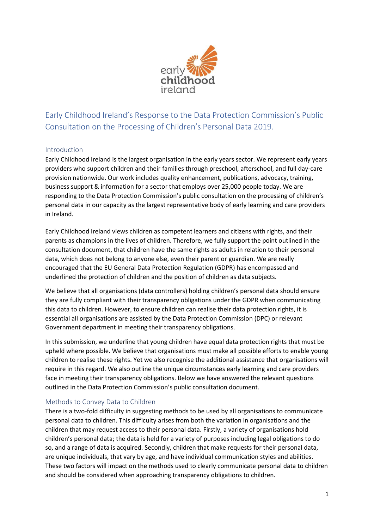

Early Childhood Ireland's Response to the Data Protection Commission's Public Consultation on the Processing of Children's Personal Data 2019.

### Introduction

Early Childhood Ireland is the largest organisation in the early years sector. We represent early years providers who support children and their families through preschool, afterschool, and full day-care provision nationwide. Our work includes quality enhancement, publications, advocacy, training, business support & information for a sector that employs over 25,000 people today. We are responding to the Data Protection Commission's public consultation on the processing of children's personal data in our capacity as the largest representative body of early learning and care providers in Ireland.

Early Childhood Ireland views children as competent learners and citizens with rights, and their parents as champions in the lives of children. Therefore, we fully support the point outlined in the consultation document, that children have the same rights as adults in relation to their personal data, which does not belong to anyone else, even their parent or guardian. We are really encouraged that the EU General Data Protection Regulation (GDPR) has encompassed and underlined the protection of children and the position of children as data subjects.

We believe that all organisations (data controllers) holding children's personal data should ensure they are fully compliant with their transparency obligations under the GDPR when communicating this data to children. However, to ensure children can realise their data protection rights, it is essential all organisations are assisted by the Data Protection Commission (DPC) or relevant Government department in meeting their transparency obligations.

In this submission, we underline that young children have equal data protection rights that must be upheld where possible. We believe that organisations must make all possible efforts to enable young children to realise these rights. Yet we also recognise the additional assistance that organisations will require in this regard. We also outline the unique circumstances early learning and care providers face in meeting their transparency obligations. Below we have answered the relevant questions outlined in the Data Protection Commission's public consultation document.

### Methods to Convey Data to Children

There is a two-fold difficulty in suggesting methods to be used by all organisations to communicate personal data to children. This difficulty arises from both the variation in organisations and the children that may request access to their personal data. Firstly, a variety of organisations hold children's personal data; the data is held for a variety of purposes including legal obligations to do so, and a range of data is acquired. Secondly, children that make requests for their personal data, are unique individuals, that vary by age, and have individual communication styles and abilities. These two factors will impact on the methods used to clearly communicate personal data to children and should be considered when approaching transparency obligations to children.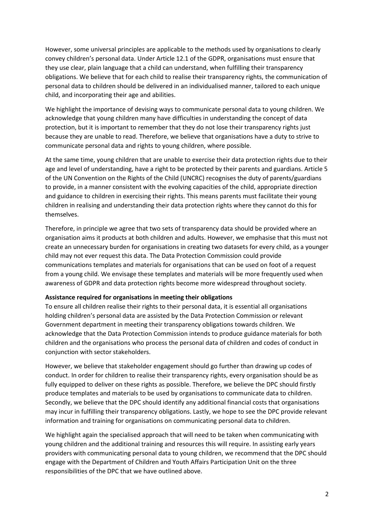However, some universal principles are applicable to the methods used by organisations to clearly convey children's personal data. Under Article 12.1 of the GDPR, organisations must ensure that they use clear, plain language that a child can understand, when fulfilling their transparency obligations. We believe that for each child to realise their transparency rights, the communication of personal data to children should be delivered in an individualised manner, tailored to each unique child, and incorporating their age and abilities.

We highlight the importance of devising ways to communicate personal data to young children. We acknowledge that young children many have difficulties in understanding the concept of data protection, but it is important to remember that they do not lose their transparency rights just because they are unable to read. Therefore, we believe that organisations have a duty to strive to communicate personal data and rights to young children, where possible.

At the same time, young children that are unable to exercise their data protection rights due to their age and level of understanding, have a right to be protected by their parents and guardians. Article 5 of the UN Convention on the Rights of the Child (UNCRC) recognises the duty of parents/guardians to provide, in a manner consistent with the evolving capacities of the child, appropriate direction and guidance to children in exercising their rights. This means parents must facilitate their young children in realising and understanding their data protection rights where they cannot do this for themselves.

Therefore, in principle we agree that two sets of transparency data should be provided where an organisation aims it products at both children and adults. However, we emphasise that this must not create an unnecessary burden for organisations in creating two datasets for every child, as a younger child may not ever request this data. The Data Protection Commission could provide communications templates and materials for organisations that can be used on foot of a request from a young child. We envisage these templates and materials will be more frequently used when awareness of GDPR and data protection rights become more widespread throughout society.

#### **Assistance required for organisations in meeting their obligations**

To ensure all children realise their rights to their personal data, it is essential all organisations holding children's personal data are assisted by the Data Protection Commission or relevant Government department in meeting their transparency obligations towards children. We acknowledge that the Data Protection Commission intends to produce guidance materials for both children and the organisations who process the personal data of children and codes of conduct in conjunction with sector stakeholders.

However, we believe that stakeholder engagement should go further than drawing up codes of conduct. In order for children to realise their transparency rights, every organisation should be as fully equipped to deliver on these rights as possible. Therefore, we believe the DPC should firstly produce templates and materials to be used by organisations to communicate data to children. Secondly, we believe that the DPC should identify any additional financial costs that organisations may incur in fulfilling their transparency obligations. Lastly, we hope to see the DPC provide relevant information and training for organisations on communicating personal data to children.

We highlight again the specialised approach that will need to be taken when communicating with young children and the additional training and resources this will require. In assisting early years providers with communicating personal data to young children, we recommend that the DPC should engage with the Department of Children and Youth Affairs Participation Unit on the three responsibilities of the DPC that we have outlined above.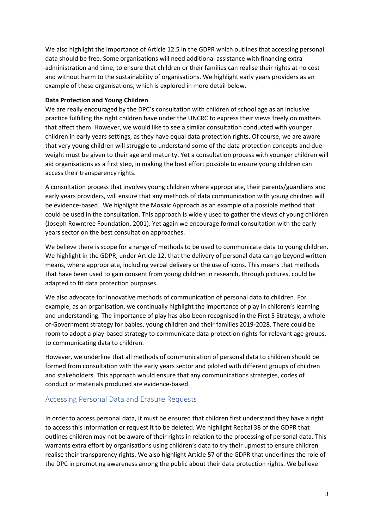We also highlight the importance of Article 12.5 in the GDPR which outlines that accessing personal data should be free. Some organisations will need additional assistance with financing extra administration and time, to ensure that children or their families can realise their rights at no cost and without harm to the sustainability of organisations. We highlight early years providers as an example of these organisations, which is explored in more detail below.

#### **Data Protection and Young Children**

We are really encouraged by the DPC's consultation with children of school age as an inclusive practice fulfilling the right children have under the UNCRC to express their views freely on matters that affect them. However, we would like to see a similar consultation conducted with younger children in early years settings, as they have equal data protection rights. Of course, we are aware that very young children will struggle to understand some of the data protection concepts and due weight must be given to their age and maturity. Yet a consultation process with younger children will aid organisations as a first step, in making the best effort possible to ensure young children can access their transparency rights.

A consultation process that involves young children where appropriate, their parents/guardians and early years providers, will ensure that any methods of data communication with young children will be evidence-based. We highlight the Mosaic Approach as an example of a possible method that could be used in the consultation. This approach is widely used to gather the views of young children (Joseph Rowntree Foundation, 2001). Yet again we encourage formal consultation with the early years sector on the best consultation approaches.

We believe there is scope for a range of methods to be used to communicate data to young children. We highlight in the GDPR, under Article 12, that the delivery of personal data can go beyond written means, where appropriate, including verbal delivery or the use of icons. This means that methods that have been used to gain consent from young children in research, through pictures, could be adapted to fit data protection purposes.

We also advocate for innovative methods of communication of personal data to children. For example, as an organisation, we continually highlight the importance of play in children's learning and understanding. The importance of play has also been recognised in the First 5 Strategy, a wholeof-Government strategy for babies, young children and their families 2019-2028. There could be room to adopt a play-based strategy to communicate data protection rights for relevant age groups, to communicating data to children.

However, we underline that all methods of communication of personal data to children should be formed from consultation with the early years sector and piloted with different groups of children and stakeholders. This approach would ensure that any communications strategies, codes of conduct or materials produced are evidence-based.

# Accessing Personal Data and Erasure Requests

In order to access personal data, it must be ensured that children first understand they have a right to access this information or request it to be deleted. We highlight Recital 38 of the GDPR that outlines children may not be aware of their rights in relation to the processing of personal data. This warrants extra effort by organisations using children's data to try their upmost to ensure children realise their transparency rights. We also highlight Article 57 of the GDPR that underlines the role of the DPC in promoting awareness among the public about their data protection rights. We believe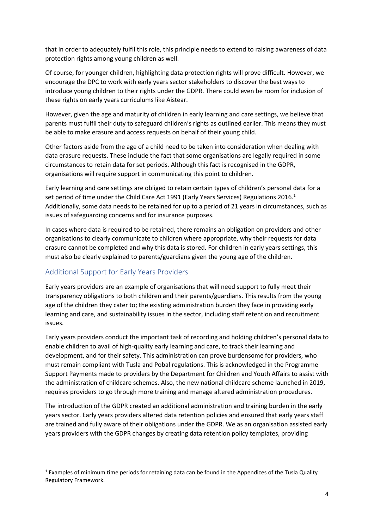that in order to adequately fulfil this role, this principle needs to extend to raising awareness of data protection rights among young children as well.

Of course, for younger children, highlighting data protection rights will prove difficult. However, we encourage the DPC to work with early years sector stakeholders to discover the best ways to introduce young children to their rights under the GDPR. There could even be room for inclusion of these rights on early years curriculums like Aistear.

However, given the age and maturity of children in early learning and care settings, we believe that parents must fulfil their duty to safeguard children's rights as outlined earlier. This means they must be able to make erasure and access requests on behalf of their young child.

Other factors aside from the age of a child need to be taken into consideration when dealing with data erasure requests. These include the fact that some organisations are legally required in some circumstances to retain data for set periods. Although this fact is recognised in the GDPR, organisations will require support in communicating this point to children.

Early learning and care settings are obliged to retain certain types of children's personal data for a set period of time under the Child Care Act 1991 (Early Years Services) Regulations 2016.<sup>1</sup> Additionally, some data needs to be retained for up to a period of 21 years in circumstances, such as issues of safeguarding concerns and for insurance purposes.

In cases where data is required to be retained, there remains an obligation on providers and other organisations to clearly communicate to children where appropriate, why their requests for data erasure cannot be completed and why this data is stored. For children in early years settings, this must also be clearly explained to parents/guardians given the young age of the children.

# Additional Support for Early Years Providers

 $\overline{a}$ 

Early years providers are an example of organisations that will need support to fully meet their transparency obligations to both children and their parents/guardians. This results from the young age of the children they cater to; the existing administration burden they face in providing early learning and care, and sustainability issues in the sector, including staff retention and recruitment issues.

Early years providers conduct the important task of recording and holding children's personal data to enable children to avail of high-quality early learning and care, to track their learning and development, and for their safety. This administration can prove burdensome for providers, who must remain compliant with Tusla and Pobal regulations. This is acknowledged in the Programme Support Payments made to providers by the Department for Children and Youth Affairs to assist with the administration of childcare schemes. Also, the new national childcare scheme launched in 2019, requires providers to go through more training and manage altered administration procedures.

The introduction of the GDPR created an additional administration and training burden in the early years sector. Early years providers altered data retention policies and ensured that early years staff are trained and fully aware of their obligations under the GDPR. We as an organisation assisted early years providers with the GDPR changes by creating data retention policy templates, providing

 $1$  Examples of minimum time periods for retaining data can be found in the Appendices of the Tusla Quality Regulatory Framework.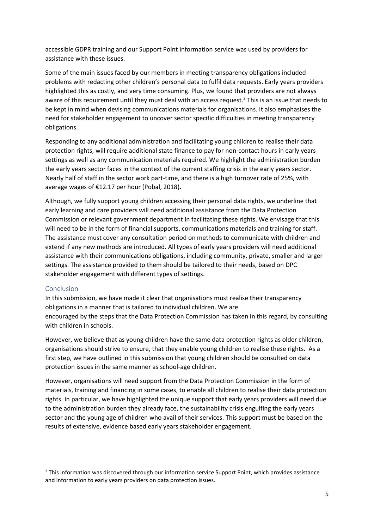accessible GDPR training and our Support Point information service was used by providers for assistance with these issues.

Some of the main issues faced by our members in meeting transparency obligations included problems with redacting other children's personal data to fulfil data requests. Early years providers highlighted this as costly, and very time consuming. Plus, we found that providers are not always aware of this requirement until they must deal with an access request. <sup>2</sup> This is an issue that needs to be kept in mind when devising communications materials for organisations. It also emphasises the need for stakeholder engagement to uncover sector specific difficulties in meeting transparency obligations.

Responding to any additional administration and facilitating young children to realise their data protection rights, will require additional state finance to pay for non-contact hours in early years settings as well as any communication materials required. We highlight the administration burden the early years sector faces in the context of the current staffing crisis in the early years sector. Nearly half of staff in the sector work part-time, and there is a high turnover rate of 25%, with average wages of €12.17 per hour (Pobal, 2018).

Although, we fully support young children accessing their personal data rights, we underline that early learning and care providers will need additional assistance from the Data Protection Commission or relevant government department in facilitating these rights. We envisage that this will need to be in the form of financial supports, communications materials and training for staff. The assistance must cover any consultation period on methods to communicate with children and extend if any new methods are introduced. All types of early years providers will need additional assistance with their communications obligations, including community, private, smaller and larger settings. The assistance provided to them should be tailored to their needs, based on DPC stakeholder engagement with different types of settings.

#### Conclusion

 $\overline{a}$ 

In this submission, we have made it clear that organisations must realise their transparency obligations in a manner that is tailored to individual children. We are encouraged by the steps that the Data Protection Commission has taken in this regard, by consulting with children in schools.

However, we believe that as young children have the same data protection rights as older children, organisations should strive to ensure, that they enable young children to realise these rights. As a first step, we have outlined in this submission that young children should be consulted on data protection issues in the same manner as school-age children.

However, organisations will need support from the Data Protection Commission in the form of materials, training and financing in some cases, to enable all children to realise their data protection rights. In particular, we have highlighted the unique support that early years providers will need due to the administration burden they already face, the sustainability crisis engulfing the early years sector and the young age of children who avail of their services. This support must be based on the results of extensive, evidence based early years stakeholder engagement.

 $2$  This information was discovered through our information service Support Point, which provides assistance and information to early years providers on data protection issues.